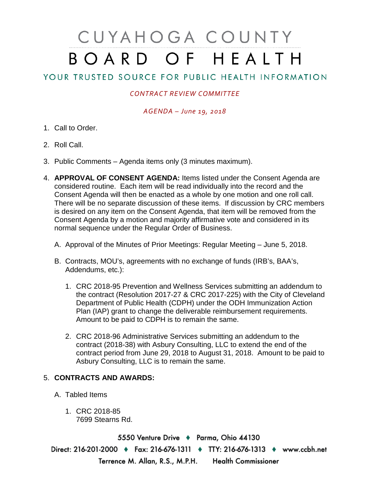# CUYAHOGA COUNTY BOARD OF HEALTH

## YOUR TRUSTED SOURCE FOR PUBLIC HEALTH INFORMATION

### *CONTRACT REVIEW COMMITTEE*

#### *AGENDA – June 19, 2018*

- 1. Call to Order.
- 2. Roll Call.
- 3. Public Comments Agenda items only (3 minutes maximum).
- 4. **APPROVAL OF CONSENT AGENDA:** Items listed under the Consent Agenda are considered routine. Each item will be read individually into the record and the Consent Agenda will then be enacted as a whole by one motion and one roll call. There will be no separate discussion of these items. If discussion by CRC members is desired on any item on the Consent Agenda, that item will be removed from the Consent Agenda by a motion and majority affirmative vote and considered in its normal sequence under the Regular Order of Business.
	- A. Approval of the Minutes of Prior Meetings: Regular Meeting June 5, 2018.
	- B. Contracts, MOU's, agreements with no exchange of funds (IRB's, BAA's, Addendums, etc.):
		- 1. CRC 2018-95 Prevention and Wellness Services submitting an addendum to the contract (Resolution 2017-27 & CRC 2017-225) with the City of Cleveland Department of Public Health (CDPH) under the ODH Immunization Action Plan (IAP) grant to change the deliverable reimbursement requirements. Amount to be paid to CDPH is to remain the same.
		- 2. CRC 2018-96 Administrative Services submitting an addendum to the contract (2018-38) with Asbury Consulting, LLC to extend the end of the contract period from June 29, 2018 to August 31, 2018. Amount to be paid to Asbury Consulting, LLC is to remain the same.

#### 5. **CONTRACTS AND AWARDS:**

- A. Tabled Items
	- 1. CRC 2018-85 7699 Stearns Rd.

5550 Venture Drive + Parma, Ohio 44130 Direct: 216-201-2000 • Fax: 216-676-1311 • TTY: 216-676-1313 • www.ccbh.net Terrence M. Allan, R.S., M.P.H. Health Commissioner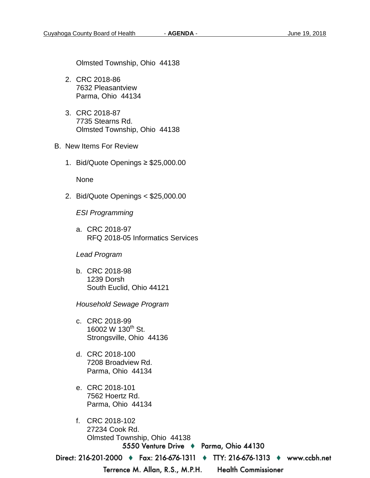Olmsted Township, Ohio 44138

- 2. CRC 2018-86 7632 Pleasantview Parma, Ohio 44134
- 3. CRC 2018-87 7735 Stearns Rd. Olmsted Township, Ohio 44138
- B. New Items For Review
	- 1. Bid/Quote Openings ≥ \$25,000.00

None

2. Bid/Quote Openings < \$25,000.00

*ESI Programming*

a. CRC 2018-97 RFQ 2018-05 Informatics Services

#### *Lead Program*

b. CRC 2018-98 1239 Dorsh South Euclid, Ohio 44121

*Household Sewage Program* 

- c. CRC 2018-99 16002 W 130<sup>th</sup> St. Strongsville, Ohio 44136
- d. CRC 2018-100 7208 Broadview Rd. Parma, Ohio 44134
- e. CRC 2018-101 7562 Hoertz Rd. Parma, Ohio 44134
- f. CRC 2018-102 27234 Cook Rd. Olmsted Township, Ohio 441385550 Venture Drive + Parma, Ohio 44130

Direct: 216-201-2000 • Fax: 216-676-1311 • TTY: 216-676-1313 • www.ccbh.net

Terrence M. Allan, R.S., M.P.H.

**Health Commissioner**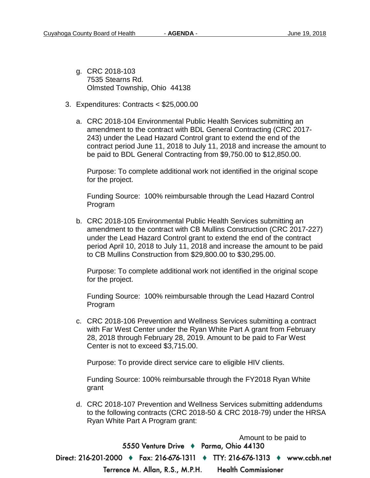- g. CRC 2018-103 7535 Stearns Rd. Olmsted Township, Ohio 44138
- 3. Expenditures: Contracts < \$25,000.00
	- a. CRC 2018-104 Environmental Public Health Services submitting an amendment to the contract with BDL General Contracting (CRC 2017- 243) under the Lead Hazard Control grant to extend the end of the contract period June 11, 2018 to July 11, 2018 and increase the amount to be paid to BDL General Contracting from \$9,750.00 to \$12,850.00.

Purpose: To complete additional work not identified in the original scope for the project.

Funding Source: 100% reimbursable through the Lead Hazard Control Program

b. CRC 2018-105 Environmental Public Health Services submitting an amendment to the contract with CB Mullins Construction (CRC 2017-227) under the Lead Hazard Control grant to extend the end of the contract period April 10, 2018 to July 11, 2018 and increase the amount to be paid to CB Mullins Construction from \$29,800.00 to \$30,295.00.

Purpose: To complete additional work not identified in the original scope for the project.

Funding Source: 100% reimbursable through the Lead Hazard Control Program

c. CRC 2018-106 Prevention and Wellness Services submitting a contract with Far West Center under the Ryan White Part A grant from February 28, 2018 through February 28, 2019. Amount to be paid to Far West Center is not to exceed \$3,715.00.

Purpose: To provide direct service care to eligible HIV clients.

Funding Source: 100% reimbursable through the FY2018 Ryan White grant

d. CRC 2018-107 Prevention and Wellness Services submitting addendums to the following contracts (CRC 2018-50 & CRC 2018-79) under the HRSA Ryan White Part A Program grant:

Amount to be paid to 5550 Venture Drive + Parma, Ohio 44130 Direct: 216-201-2000 ♦ Fax: 216-676-1311 ♦ TTY: 216-676-1313 ♦ www.ccbh.net Terrence M. Allan, R.S., M.P.H. **Health Commissioner**